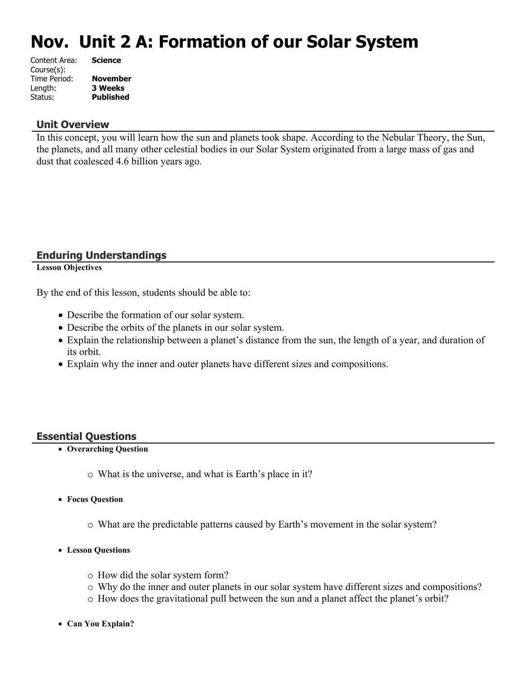# **Nov. Unit 2 A: Formation of our Solar System**

| Content Area: | <b>Science</b>   |
|---------------|------------------|
| Course(s):    |                  |
| Time Period:  | <b>November</b>  |
| Length:       | <b>3 Weeks</b>   |
| Status:       | <b>Published</b> |
|               |                  |

## **Unit Overview**

In this concept, you will learn how the sun and planets took shape. According to the Nebular Theory, the Sun, the planets, and all many other celestial bodies in our Solar System originated from a large mass of gas and dust that coalesced 4.6 billion years ago.

# **Enduring Understandings**

**Lesson Objectives**

By the end of this lesson, students should be able to:

- Describe the formation of our solar system.
- Describe the orbits of the planets in our solar system.
- Explain the relationship between a planet's distance from the sun, the length of a year, and duration of its orbit.
- Explain why the inner and outer planets have different sizes and compositions.

# **Essential Questions**

- **Overarching Question**
	- o What is the universe, and what is Earth's place in it?
- **Focus Question**
	- o What are the predictable patterns caused by Earth's movement in the solar system?
- **Lesson Questions**
	- o How did the solar system form?
	- o Why do the inner and outer planets in our solar system have different sizes and compositions?
	- o How does the gravitational pull between the sun and a planet affect the planet's orbit?
- **Can You Explain?**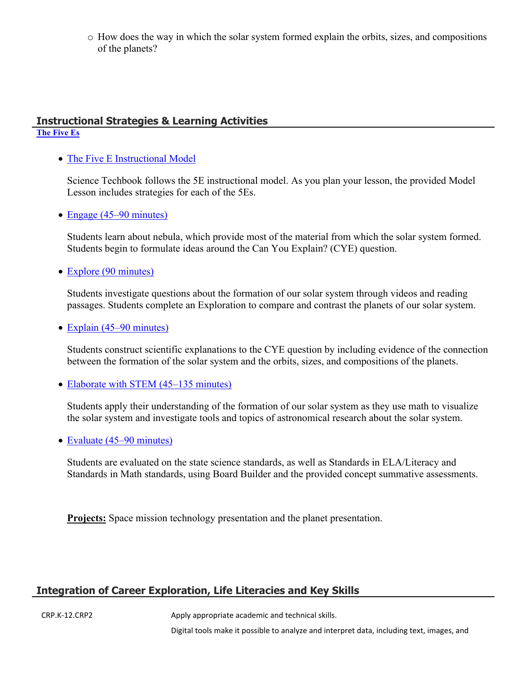o How does the way in which the solar system formed explain the orbits, sizes, and compositions of the planets?

#### **Instructional Strategies & Learning Activities [The Five Es](https://app.discoveryeducation.com/learn/techbook/units/8bbb0b41-5603-4e74-80ac-5a0d536b350a/concepts/1305c13a-b162-475e-b425-f890e9c24128/lesson/sections/358772cb-f2e8-44b8-9642-539e6334fa29)**

• [The Five E Instructional Model](https://app.discoveryeducation.com/learn/techbook/units/8bbb0b41-5603-4e74-80ac-5a0d536b350a/concepts/1305c13a-b162-475e-b425-f890e9c24128/lesson/sections/358772cb-f2e8-44b8-9642-539e6334fa29#a566a9b5-215b-4d2e-a285-0ae71bab1f7c)

Science Techbook follows the 5E instructional model. As you plan your lesson, the provided Model Lesson includes strategies for each of the 5Es.

• [Engage \(45–90 minutes\)](https://app.discoveryeducation.com/learn/techbook/units/8bbb0b41-5603-4e74-80ac-5a0d536b350a/concepts/1305c13a-b162-475e-b425-f890e9c24128/lesson/sections/358772cb-f2e8-44b8-9642-539e6334fa29#b8588c17-4c95-4ba6-b302-a24ae18b6ae1)

Students learn about nebula, which provide most of the material from which the solar system formed. Students begin to formulate ideas around the Can You Explain? (CYE) question.

• [Explore \(90 minutes\)](https://app.discoveryeducation.com/learn/techbook/units/8bbb0b41-5603-4e74-80ac-5a0d536b350a/concepts/1305c13a-b162-475e-b425-f890e9c24128/lesson/sections/358772cb-f2e8-44b8-9642-539e6334fa29#f7f66b76-dabb-4611-bf3d-f3964d607590)

Students investigate questions about the formation of our solar system through videos and reading passages. Students complete an Exploration to compare and contrast the planets of our solar system.

• [Explain \(45–90 minutes\)](https://app.discoveryeducation.com/learn/techbook/units/8bbb0b41-5603-4e74-80ac-5a0d536b350a/concepts/1305c13a-b162-475e-b425-f890e9c24128/lesson/sections/358772cb-f2e8-44b8-9642-539e6334fa29#f9482ce4-4dca-4828-80b3-47c8f985c7b7)

Students construct scientific explanations to the CYE question by including evidence of the connection between the formation of the solar system and the orbits, sizes, and compositions of the planets.

• [Elaborate with STEM \(45–135 minutes\)](https://app.discoveryeducation.com/learn/techbook/units/8bbb0b41-5603-4e74-80ac-5a0d536b350a/concepts/1305c13a-b162-475e-b425-f890e9c24128/lesson/sections/358772cb-f2e8-44b8-9642-539e6334fa29#19a598c6-fe20-4def-b4e0-3139cea36741)

Students apply their understanding of the formation of our solar system as they use math to visualize the solar system and investigate tools and topics of astronomical research about the solar system.

• [Evaluate \(45–90 minutes\)](https://app.discoveryeducation.com/learn/techbook/units/8bbb0b41-5603-4e74-80ac-5a0d536b350a/concepts/1305c13a-b162-475e-b425-f890e9c24128/lesson/sections/358772cb-f2e8-44b8-9642-539e6334fa29#3a678c94-eb60-401c-bde7-65bc747ef95b)

Students are evaluated on the state science standards, as well as Standards in ELA/Literacy and Standards in Math standards, using Board Builder and the provided concept summative assessments.

**Projects:** Space mission technology presentation and the planet presentation.

# **Integration of Career Exploration, Life Literacies and Key Skills**

CRP.K-12.CRP2 Apply appropriate academic and technical skills.

Digital tools make it possible to analyze and interpret data, including text, images, and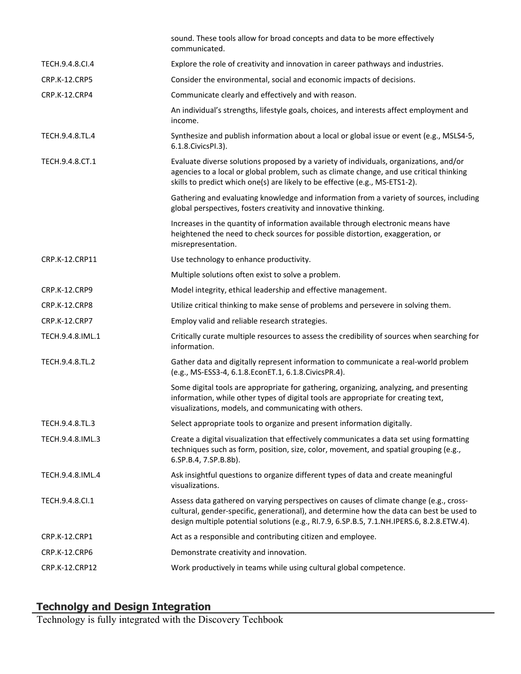|                      | sound. These tools allow for broad concepts and data to be more effectively<br>communicated.                                                                                                                                                                                     |
|----------------------|----------------------------------------------------------------------------------------------------------------------------------------------------------------------------------------------------------------------------------------------------------------------------------|
| TECH.9.4.8.CI.4      | Explore the role of creativity and innovation in career pathways and industries.                                                                                                                                                                                                 |
| <b>CRP.K-12.CRP5</b> | Consider the environmental, social and economic impacts of decisions.                                                                                                                                                                                                            |
| CRP.K-12.CRP4        | Communicate clearly and effectively and with reason.                                                                                                                                                                                                                             |
|                      | An individual's strengths, lifestyle goals, choices, and interests affect employment and<br>income.                                                                                                                                                                              |
| TECH.9.4.8.TL.4      | Synthesize and publish information about a local or global issue or event (e.g., MSLS4-5,<br>6.1.8. Civics PI.3).                                                                                                                                                                |
| TECH.9.4.8.CT.1      | Evaluate diverse solutions proposed by a variety of individuals, organizations, and/or<br>agencies to a local or global problem, such as climate change, and use critical thinking<br>skills to predict which one(s) are likely to be effective (e.g., MS-ETS1-2).               |
|                      | Gathering and evaluating knowledge and information from a variety of sources, including<br>global perspectives, fosters creativity and innovative thinking.                                                                                                                      |
|                      | Increases in the quantity of information available through electronic means have<br>heightened the need to check sources for possible distortion, exaggeration, or<br>misrepresentation.                                                                                         |
| CRP.K-12.CRP11       | Use technology to enhance productivity.                                                                                                                                                                                                                                          |
|                      | Multiple solutions often exist to solve a problem.                                                                                                                                                                                                                               |
| CRP.K-12.CRP9        | Model integrity, ethical leadership and effective management.                                                                                                                                                                                                                    |
| <b>CRP.K-12.CRP8</b> | Utilize critical thinking to make sense of problems and persevere in solving them.                                                                                                                                                                                               |
| CRP.K-12.CRP7        | Employ valid and reliable research strategies.                                                                                                                                                                                                                                   |
| TECH.9.4.8.IML.1     | Critically curate multiple resources to assess the credibility of sources when searching for<br>information.                                                                                                                                                                     |
| TECH.9.4.8.TL.2      | Gather data and digitally represent information to communicate a real-world problem<br>(e.g., MS-ESS3-4, 6.1.8.EconET.1, 6.1.8.CivicsPR.4).                                                                                                                                      |
|                      | Some digital tools are appropriate for gathering, organizing, analyzing, and presenting<br>information, while other types of digital tools are appropriate for creating text,<br>visualizations, models, and communicating with others.                                          |
| TECH.9.4.8.TL.3      | Select appropriate tools to organize and present information digitally.                                                                                                                                                                                                          |
| TECH.9.4.8.IML.3     | Create a digital visualization that effectively communicates a data set using formatting<br>techniques such as form, position, size, color, movement, and spatial grouping (e.g.,<br>6.SP.B.4, 7.SP.B.8b).                                                                       |
| TECH.9.4.8.IML.4     | Ask insightful questions to organize different types of data and create meaningful<br>visualizations.                                                                                                                                                                            |
| TECH.9.4.8.Cl.1      | Assess data gathered on varying perspectives on causes of climate change (e.g., cross-<br>cultural, gender-specific, generational), and determine how the data can best be used to<br>design multiple potential solutions (e.g., RI.7.9, 6.SP.B.5, 7.1.NH.IPERS.6, 8.2.8.ETW.4). |
| CRP.K-12.CRP1        | Act as a responsible and contributing citizen and employee.                                                                                                                                                                                                                      |
| <b>CRP.K-12.CRP6</b> | Demonstrate creativity and innovation.                                                                                                                                                                                                                                           |
| CRP.K-12.CRP12       | Work productively in teams while using cultural global competence.                                                                                                                                                                                                               |

# **Technolgy and Design Integration**

Technology is fully integrated with the Discovery Techbook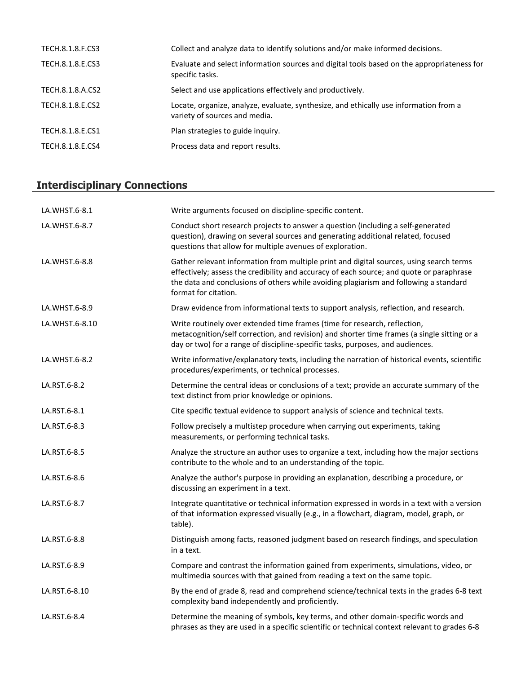| TECH.8.1.8.F.CS3 | Collect and analyze data to identify solutions and/or make informed decisions.                                         |
|------------------|------------------------------------------------------------------------------------------------------------------------|
| TECH.8.1.8.E.CS3 | Evaluate and select information sources and digital tools based on the appropriateness for<br>specific tasks.          |
| TECH.8.1.8.A.CS2 | Select and use applications effectively and productively.                                                              |
| TECH.8.1.8.E.CS2 | Locate, organize, analyze, evaluate, synthesize, and ethically use information from a<br>variety of sources and media. |
| TECH.8.1.8.E.CS1 | Plan strategies to guide inquiry.                                                                                      |
| TECH.8.1.8.E.CS4 | Process data and report results.                                                                                       |

# **Interdisciplinary Connections**

| LA.WHST.6-8.1  | Write arguments focused on discipline-specific content.                                                                                                                                                                                                                                              |
|----------------|------------------------------------------------------------------------------------------------------------------------------------------------------------------------------------------------------------------------------------------------------------------------------------------------------|
| LA.WHST.6-8.7  | Conduct short research projects to answer a question (including a self-generated<br>question), drawing on several sources and generating additional related, focused<br>questions that allow for multiple avenues of exploration.                                                                    |
| LA.WHST.6-8.8  | Gather relevant information from multiple print and digital sources, using search terms<br>effectively; assess the credibility and accuracy of each source; and quote or paraphrase<br>the data and conclusions of others while avoiding plagiarism and following a standard<br>format for citation. |
| LA.WHST.6-8.9  | Draw evidence from informational texts to support analysis, reflection, and research.                                                                                                                                                                                                                |
| LA.WHST.6-8.10 | Write routinely over extended time frames (time for research, reflection,<br>metacognition/self correction, and revision) and shorter time frames (a single sitting or a<br>day or two) for a range of discipline-specific tasks, purposes, and audiences.                                           |
| LA.WHST.6-8.2  | Write informative/explanatory texts, including the narration of historical events, scientific<br>procedures/experiments, or technical processes.                                                                                                                                                     |
| LA.RST.6-8.2   | Determine the central ideas or conclusions of a text; provide an accurate summary of the<br>text distinct from prior knowledge or opinions.                                                                                                                                                          |
| LA.RST.6-8.1   | Cite specific textual evidence to support analysis of science and technical texts.                                                                                                                                                                                                                   |
| LA.RST.6-8.3   | Follow precisely a multistep procedure when carrying out experiments, taking<br>measurements, or performing technical tasks.                                                                                                                                                                         |
| LA.RST.6-8.5   | Analyze the structure an author uses to organize a text, including how the major sections<br>contribute to the whole and to an understanding of the topic.                                                                                                                                           |
| LA.RST.6-8.6   | Analyze the author's purpose in providing an explanation, describing a procedure, or<br>discussing an experiment in a text.                                                                                                                                                                          |
| LA.RST.6-8.7   | Integrate quantitative or technical information expressed in words in a text with a version<br>of that information expressed visually (e.g., in a flowchart, diagram, model, graph, or<br>table).                                                                                                    |
| LA.RST.6-8.8   | Distinguish among facts, reasoned judgment based on research findings, and speculation<br>in a text.                                                                                                                                                                                                 |
| LA.RST.6-8.9   | Compare and contrast the information gained from experiments, simulations, video, or<br>multimedia sources with that gained from reading a text on the same topic.                                                                                                                                   |
| LA.RST.6-8.10  | By the end of grade 8, read and comprehend science/technical texts in the grades 6-8 text<br>complexity band independently and proficiently.                                                                                                                                                         |
| LA.RST.6-8.4   | Determine the meaning of symbols, key terms, and other domain-specific words and<br>phrases as they are used in a specific scientific or technical context relevant to grades 6-8                                                                                                                    |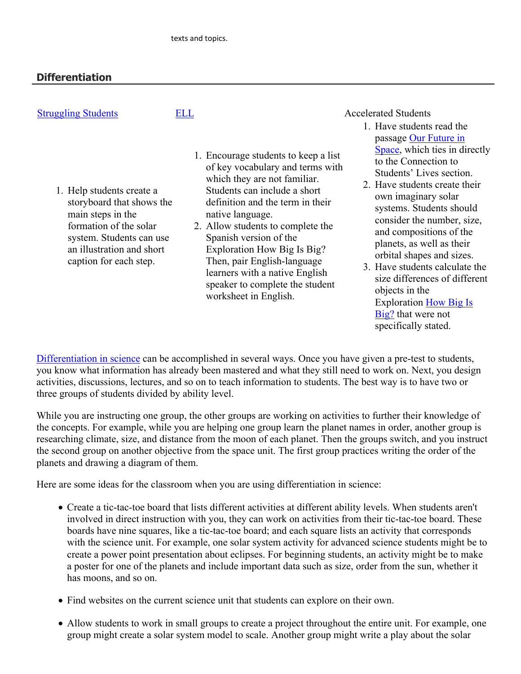# **Differentiation**

| <b>Struggling Students</b>                                                                                                                                                               | <b>ELL</b> |                                                                                                                                                                                                                                                                                                                                                                                                                             | <b>Accelerated Students</b>                                                                                                                                                                                                                                                                                                                                                                                                                                                                |
|------------------------------------------------------------------------------------------------------------------------------------------------------------------------------------------|------------|-----------------------------------------------------------------------------------------------------------------------------------------------------------------------------------------------------------------------------------------------------------------------------------------------------------------------------------------------------------------------------------------------------------------------------|--------------------------------------------------------------------------------------------------------------------------------------------------------------------------------------------------------------------------------------------------------------------------------------------------------------------------------------------------------------------------------------------------------------------------------------------------------------------------------------------|
| 1. Help students create a<br>storyboard that shows the<br>main steps in the<br>formation of the solar<br>system. Students can use<br>an illustration and short<br>caption for each step. |            | 1. Encourage students to keep a list<br>of key vocabulary and terms with<br>which they are not familiar.<br>Students can include a short<br>definition and the term in their<br>native language.<br>2. Allow students to complete the<br>Spanish version of the<br>Exploration How Big Is Big?<br>Then, pair English-language<br>learners with a native English<br>speaker to complete the student<br>worksheet in English. | 1. Have students read the<br>passage Our Future in<br>Space, which ties in directly<br>to the Connection to<br>Students' Lives section.<br>2. Have students create their<br>own imaginary solar<br>systems. Students should<br>consider the number, size,<br>and compositions of the<br>planets, as well as their<br>orbital shapes and sizes.<br>3. Have students calculate the<br>size differences of different<br>objects in the<br><b>Exploration How Big Is</b><br>Big? that were not |

[Differentiation in science](http://www.brighthubeducation.com/teaching-gifted-students/65181-differentiation-techniques-and-activities-in-the-classroom-for-gifted-students/) can be accomplished in several ways. Once you have given a pre-test to students, you know what information has already been mastered and what they still need to work on. Next, you design activities, discussions, lectures, and so on to teach information to students. The best way is to have two or three groups of students divided by ability level.

specifically stated.

While you are instructing one group, the other groups are working on activities to further their knowledge of the concepts. For example, while you are helping one group learn the planet names in order, another group is researching climate, size, and distance from the moon of each planet. Then the groups switch, and you instruct the second group on another objective from the space unit. The first group practices writing the order of the planets and drawing a diagram of them.

Here are some ideas for the classroom when you are using differentiation in science:

- Create a tic-tac-toe board that lists different activities at different ability levels. When students aren't involved in direct instruction with you, they can work on activities from their tic-tac-toe board. These boards have nine squares, like a tic-tac-toe board; and each square lists an activity that corresponds with the science unit. For example, one solar system activity for advanced science students might be to create a power point presentation about eclipses. For beginning students, an activity might be to make a poster for one of the planets and include important data such as size, order from the sun, whether it has moons, and so on.
- Find websites on the current science unit that students can explore on their own.
- Allow students to work in small groups to create a project throughout the entire unit. For example, one group might create a solar system model to scale. Another group might write a play about the solar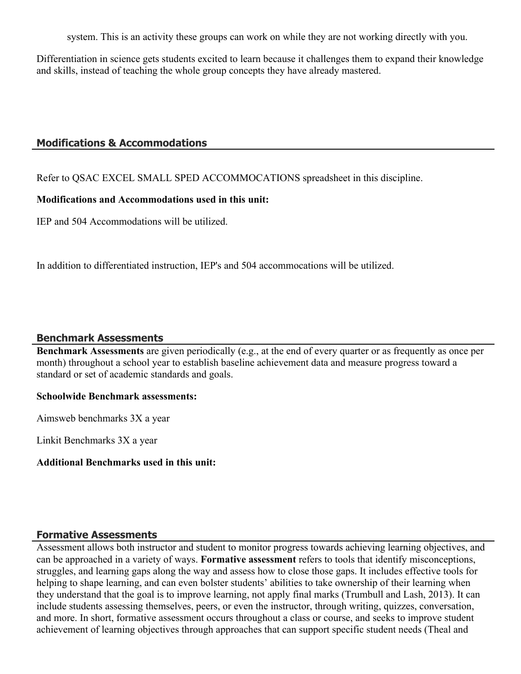system. This is an activity these groups can work on while they are not working directly with you.

Differentiation in science gets students excited to learn because it challenges them to expand their knowledge and skills, instead of teaching the whole group concepts they have already mastered.

#### **Modifications & Accommodations**

Refer to QSAC EXCEL SMALL SPED ACCOMMOCATIONS spreadsheet in this discipline.

#### **Modifications and Accommodations used in this unit:**

IEP and 504 Accommodations will be utilized.

In addition to differentiated instruction, IEP's and 504 accommocations will be utilized.

#### **Benchmark Assessments**

**Benchmark Assessments** are given periodically (e.g., at the end of every quarter or as frequently as once per month) throughout a school year to establish baseline achievement data and measure progress toward a standard or set of academic standards and goals.

#### **Schoolwide Benchmark assessments:**

Aimsweb benchmarks 3X a year

Linkit Benchmarks 3X a year

#### **Additional Benchmarks used in this unit:**

#### **Formative Assessments**

Assessment allows both instructor and student to monitor progress towards achieving learning objectives, and can be approached in a variety of ways. **Formative assessment** refers to tools that identify misconceptions, struggles, and learning gaps along the way and assess how to close those gaps. It includes effective tools for helping to shape learning, and can even bolster students' abilities to take ownership of their learning when they understand that the goal is to improve learning, not apply final marks (Trumbull and Lash, 2013). It can include students assessing themselves, peers, or even the instructor, through writing, quizzes, conversation, and more. In short, formative assessment occurs throughout a class or course, and seeks to improve student achievement of learning objectives through approaches that can support specific student needs (Theal and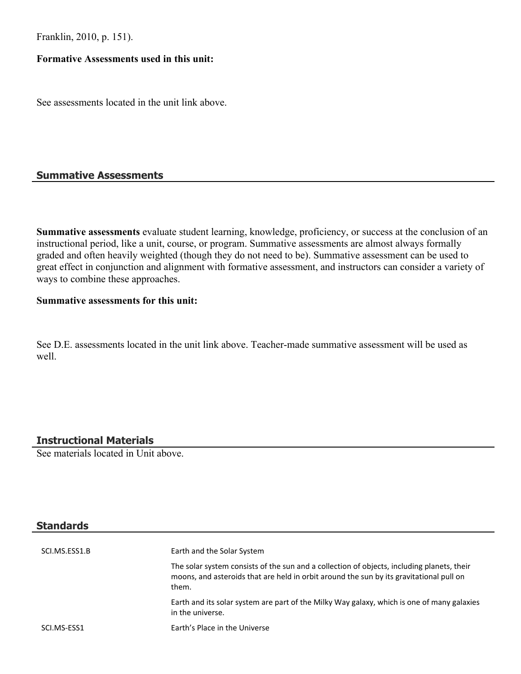Franklin, 2010, p. 151).

#### **Formative Assessments used in this unit:**

See assessments located in the unit link above.

### **Summative Assessments**

**Summative assessments** evaluate student learning, knowledge, proficiency, or success at the conclusion of an instructional period, like a unit, course, or program. Summative assessments are almost always formally graded and often heavily weighted (though they do not need to be). Summative assessment can be used to great effect in conjunction and alignment with formative assessment, and instructors can consider a variety of ways to combine these approaches.

# **Summative assessments for this unit:**

See D.E. assessments located in the unit link above. Teacher-made summative assessment will be used as well.

# **Instructional Materials**

See materials located in Unit above.

## **Standards**

| SCI.MS.ESS1.B | Earth and the Solar System                                                                                                                                                                     |
|---------------|------------------------------------------------------------------------------------------------------------------------------------------------------------------------------------------------|
|               | The solar system consists of the sun and a collection of objects, including planets, their<br>moons, and asteroids that are held in orbit around the sun by its gravitational pull on<br>them. |
|               | Earth and its solar system are part of the Milky Way galaxy, which is one of many galaxies<br>in the universe.                                                                                 |
| SCI.MS-ESS1   | Earth's Place in the Universe                                                                                                                                                                  |